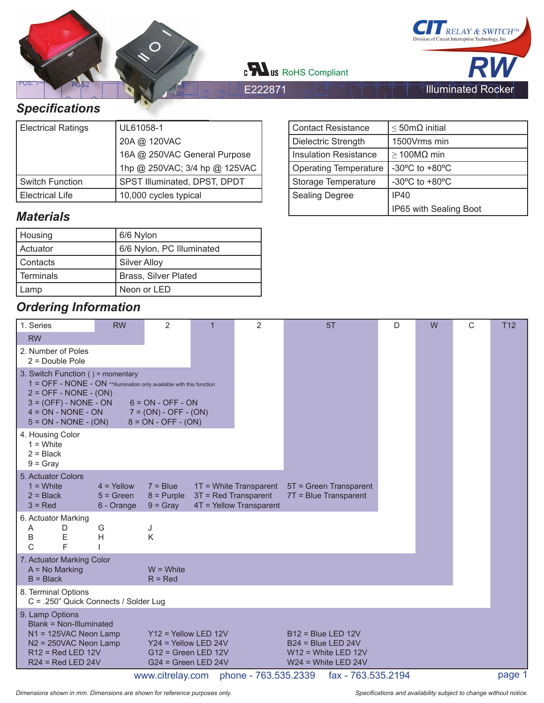

[ 10]

E222871

[ 10]



# *Specifi cations*

| <b>Electrical Ratings</b> | UL61058-1                     |
|---------------------------|-------------------------------|
|                           | 20A @ 120VAC                  |
|                           | 16A @ 250VAC General Purpose  |
|                           | 1hp @ 250VAC; 3/4 hp @ 125VAC |
| <b>Switch Function</b>    | SPST Illuminated, DPST, DPDT  |
| <b>Electrical Life</b>    | 10,000 cycles typical         |

#### *Materials*

| Housing     | 6/6 Nylon                   |
|-------------|-----------------------------|
| Actuator    | 6/6 Nylon, PC Illuminated   |
| Contacts    | Silver Alloy                |
| l Terminals | <b>Brass, Silver Plated</b> |
| Lamp        | Neon or LED                 |

#### *Ordering Information*

| ,, ,, ,, ,, ,,                                                                                                                                                                                                    |                                           |                                                                                                    |                      |                                                   |                                                                                                |   |   |   |                 |
|-------------------------------------------------------------------------------------------------------------------------------------------------------------------------------------------------------------------|-------------------------------------------|----------------------------------------------------------------------------------------------------|----------------------|---------------------------------------------------|------------------------------------------------------------------------------------------------|---|---|---|-----------------|
| 1. Series                                                                                                                                                                                                         | <b>RW</b>                                 | 2                                                                                                  | $\overline{1}$       | $\overline{2}$                                    | 5T                                                                                             | D | W | C | T <sub>12</sub> |
| <b>RW</b>                                                                                                                                                                                                         |                                           |                                                                                                    |                      |                                                   |                                                                                                |   |   |   |                 |
| 2. Number of Poles<br>$2 = Double Pole$                                                                                                                                                                           |                                           |                                                                                                    |                      |                                                   |                                                                                                |   |   |   |                 |
| 3. Switch Function () = momentary<br>1 = OFF - NONE - ON **Illumination only available with this function<br>$2 = OFF - NODE - (ON)$<br>$3 = (OFF) - NONE - ON$<br>$4 = ON - NONE - ON$<br>$5 = ON - NONE - (ON)$ |                                           | $6 = ON - OFF - ON$<br>$7 = (ON) - OFF - (ON)$<br>$8 = ON - OFF - (ON)$                            |                      |                                                   |                                                                                                |   |   |   |                 |
| 4. Housing Color<br>$1 =$ White<br>$2 = Black$<br>$9 =$ Gray                                                                                                                                                      |                                           |                                                                                                    |                      |                                                   |                                                                                                |   |   |   |                 |
| 5. Actuator Colors<br>$1 =$ White<br>$2 = Black$<br>$3 = Red$                                                                                                                                                     | $4 =$ Yellow<br>$5 = Green$<br>6 - Orange | $7 = Blue$<br>$8 =$ Purple<br>$9 =$ Gray                                                           | 3T = Red Transparent | 1T = White Transparent<br>4T = Yellow Transparent | 5T = Green Transparent<br>7T = Blue Transparent                                                |   |   |   |                 |
| 6. Actuator Marking<br>D<br>A<br>Ε<br>B<br>F<br>C                                                                                                                                                                 | G<br>Н                                    | J<br>K                                                                                             |                      |                                                   |                                                                                                |   |   |   |                 |
| 7. Actuator Marking Color<br>$A = No$ Marking<br>$B = Black$                                                                                                                                                      |                                           | $W = White$<br>$R = Red$                                                                           |                      |                                                   |                                                                                                |   |   |   |                 |
| 8. Terminal Options<br>C = .250" Quick Connects / Solder Lug                                                                                                                                                      |                                           |                                                                                                    |                      |                                                   |                                                                                                |   |   |   |                 |
| 9. Lamp Options<br>Blank = Non-Illuminated<br>N1 = 125VAC Neon Lamp<br>$N2 = 250VAC$ Neon Lamp<br>$R12$ = Red LED 12V<br>$R24$ = Red LED 24V                                                                      |                                           | $Y12 =$ Yellow LED 12V<br>$Y24 =$ Yellow LED 24V<br>$G12$ = Green LED 12V<br>$G24 = Green LED 24V$ |                      |                                                   | $B12 = Blue LED 12V$<br>$B24 = Blue LED 24V$<br>$W12 = White LED 12V$<br>$W24 = White LED 24V$ |   |   |   |                 |
|                                                                                                                                                                                                                   |                                           | www.citrelay.com                                                                                   |                      | phone - 763.535.2339                              | fax - 763.535.2194                                                                             |   |   |   | page 1          |

| <b>Contact Resistance</b>    | $\leq$ 50m $\Omega$ initial                          |
|------------------------------|------------------------------------------------------|
| Dielectric Strength          | 1500Vrms min                                         |
| <b>Insulation Resistance</b> | $\geq$ 100MΩ min                                     |
| <b>Operating Temperature</b> | -30 $\mathrm{^{\circ}C}$ to +80 $\mathrm{^{\circ}C}$ |
| Storage Temperature          | -30 $\mathrm{^{\circ}C}$ to +80 $\mathrm{^{\circ}C}$ |
| <b>Sealing Degree</b>        | IP40                                                 |
|                              | IP65 with Sealing Boot                               |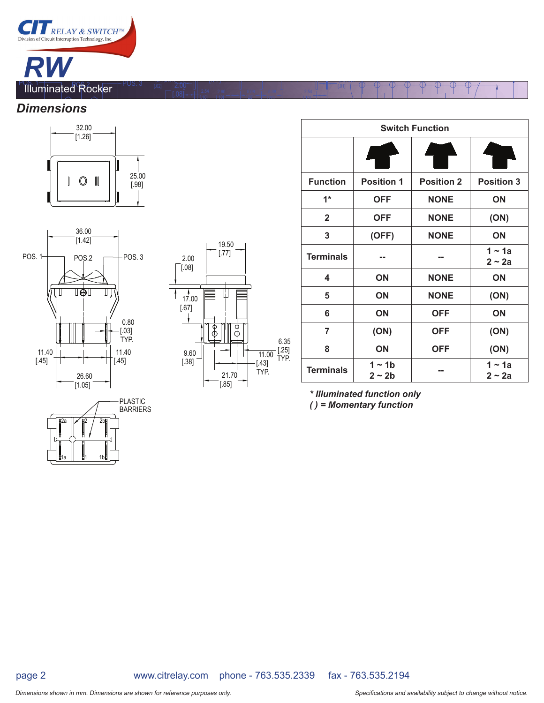

#### *Dimensions*





|1a || **‼**1 1b



[.10]

[ 10]

 $(2x)$ 

[ 20]

[ 20]

[ 10]

.<br>مع<del>رض من المنظ</del>

| <b>Switch Function</b> |                         |                   |                      |  |  |  |
|------------------------|-------------------------|-------------------|----------------------|--|--|--|
|                        |                         |                   |                      |  |  |  |
| <b>Function</b>        | <b>Position 1</b>       | <b>Position 2</b> | <b>Position 3</b>    |  |  |  |
| $1*$                   | <b>OFF</b>              | <b>NONE</b>       | ON                   |  |  |  |
| $\mathbf{2}$           | OFF                     | <b>NONE</b>       | (ON)                 |  |  |  |
| 3                      | (OFF)                   | <b>NONE</b>       | ON                   |  |  |  |
| <b>Terminals</b>       |                         |                   | $1 - 1a$<br>$2 - 2a$ |  |  |  |
| 4                      | ON                      | <b>NONE</b>       | ON                   |  |  |  |
| 5                      | ON                      | <b>NONE</b>       | (ON)                 |  |  |  |
| 6                      | ON                      | <b>OFF</b>        | ON                   |  |  |  |
| $\overline{7}$         | (ON)                    | <b>OFF</b>        | (ON)                 |  |  |  |
| 8                      | ON                      | <b>OFF</b>        | (ON)                 |  |  |  |
| <b>Terminals</b>       | $1 - 1b$<br>$2 \sim 2b$ |                   | $1 - 1a$<br>2 ~ 2a   |  |  |  |

*\* Illuminated function only ( ) = Momentary function*

page 2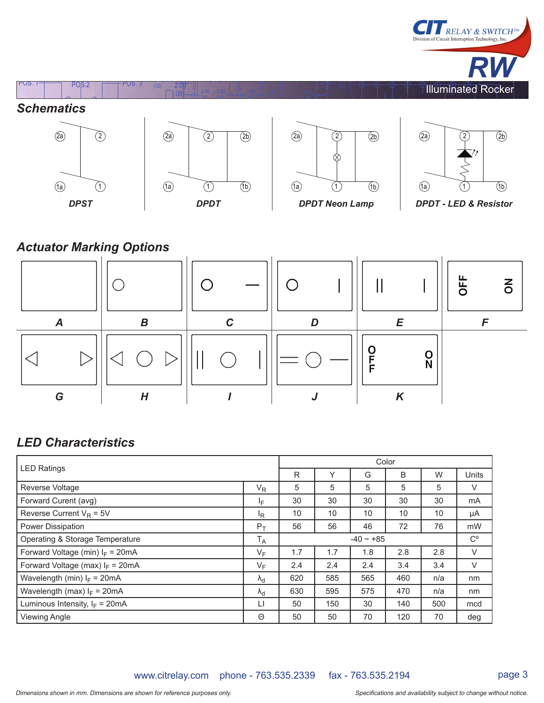

## *Actuator Marking Options*



### *LED Characteristics*

| <b>LED Ratings</b>                       |                   | Color |     |                |     |     |              |
|------------------------------------------|-------------------|-------|-----|----------------|-----|-----|--------------|
|                                          |                   | R     | ٧   | G              | B   | W   | <b>Units</b> |
| <b>Reverse Voltage</b>                   | $V_R$             | 5     | 5   | 5              | 5   | 5   | V            |
| Forward Curent (avg)                     | ΙF                | 30    | 30  | 30             | 30  | 30  | mA           |
| Reverse Current $V_R = 5V$               | <sup>I</sup> R    | 10    | 10  | 10             | 10  | 10  | μA           |
| <b>Power Dissipation</b>                 | $P_T$             | 56    | 56  | 46             | 72  | 76  | mW           |
| Operating & Storage Temperature          | $T_A$             |       |     | $-40 \sim +85$ |     |     | $C^{\circ}$  |
| Forward Voltage (min) $I_F = 20mA$       | $V_F$             | 1.7   | 1.7 | 1.8            | 2.8 | 2.8 | $\vee$       |
| Forward Voltage (max) $I_F = 20mA$       | $V_F$             | 2.4   | 2.4 | 2.4            | 3.4 | 3.4 | $\vee$       |
| Wavelength (min) $I_F = 20mA$            | $\lambda_{\rm d}$ | 620   | 585 | 565            | 460 | n/a | nm           |
| Wavelength (max) $I_F = 20mA$            | $\lambda_{\rm d}$ | 630   | 595 | 575            | 470 | n/a | nm           |
| Luminous Intensity, $I_F = 20 \text{mA}$ | LI                | 50    | 150 | 30             | 140 | 500 | mcd          |
| <b>Viewing Angle</b>                     | Θ                 | 50    | 50  | 70             | 120 | 70  | deg          |

www.citrelay.com phone - 763.535.2339 fax - 763.535.2194

RELAY & SWITCH<sup>™</sup>

Division of Circuit Interruption Technology, Inc.